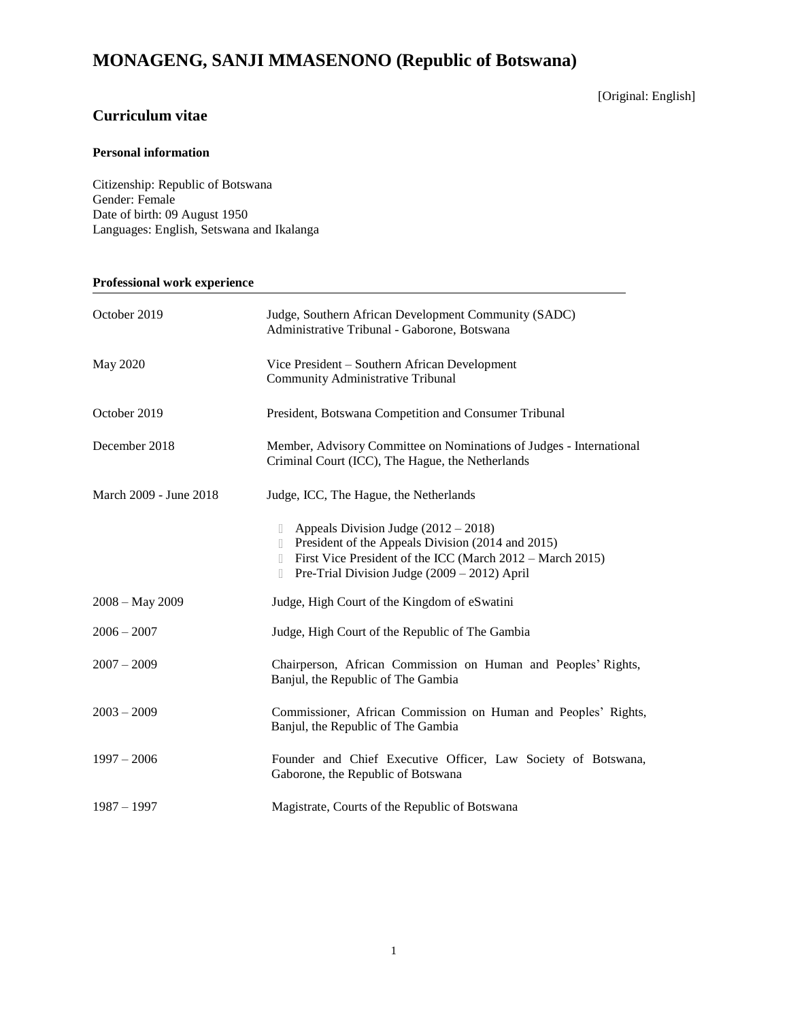# **MONAGENG, SANJI MMASENONO (Republic of Botswana)**

# **Curriculum vitae**

# [Original: English]

# **Personal information**

Citizenship: Republic of Botswana Gender: Female Date of birth: 09 August 1950 Languages: English, Setswana and Ikalanga

# **Professional work experience**

| October 2019           | Judge, Southern African Development Community (SADC)<br>Administrative Tribunal - Gaborone, Botswana                                                                                                                    |
|------------------------|-------------------------------------------------------------------------------------------------------------------------------------------------------------------------------------------------------------------------|
| May 2020               | Vice President – Southern African Development<br>Community Administrative Tribunal                                                                                                                                      |
| October 2019           | President, Botswana Competition and Consumer Tribunal                                                                                                                                                                   |
| December 2018          | Member, Advisory Committee on Nominations of Judges - International<br>Criminal Court (ICC), The Hague, the Netherlands                                                                                                 |
| March 2009 - June 2018 | Judge, ICC, The Hague, the Netherlands                                                                                                                                                                                  |
|                        | Appeals Division Judge $(2012 – 2018)$<br>u<br>President of the Appeals Division (2014 and 2015)<br>First Vice President of the ICC (March 2012 – March 2015)<br>Pre-Trial Division Judge (2009 – 2012) April<br>$\Box$ |
| $2008 - May 2009$      | Judge, High Court of the Kingdom of eSwatini                                                                                                                                                                            |
| $2006 - 2007$          | Judge, High Court of the Republic of The Gambia                                                                                                                                                                         |
| $2007 - 2009$          | Chairperson, African Commission on Human and Peoples' Rights,<br>Banjul, the Republic of The Gambia                                                                                                                     |
| $2003 - 2009$          | Commissioner, African Commission on Human and Peoples' Rights,<br>Banjul, the Republic of The Gambia                                                                                                                    |
| $1997 - 2006$          | Founder and Chief Executive Officer, Law Society of Botswana,<br>Gaborone, the Republic of Botswana                                                                                                                     |
| $1987 - 1997$          | Magistrate, Courts of the Republic of Botswana                                                                                                                                                                          |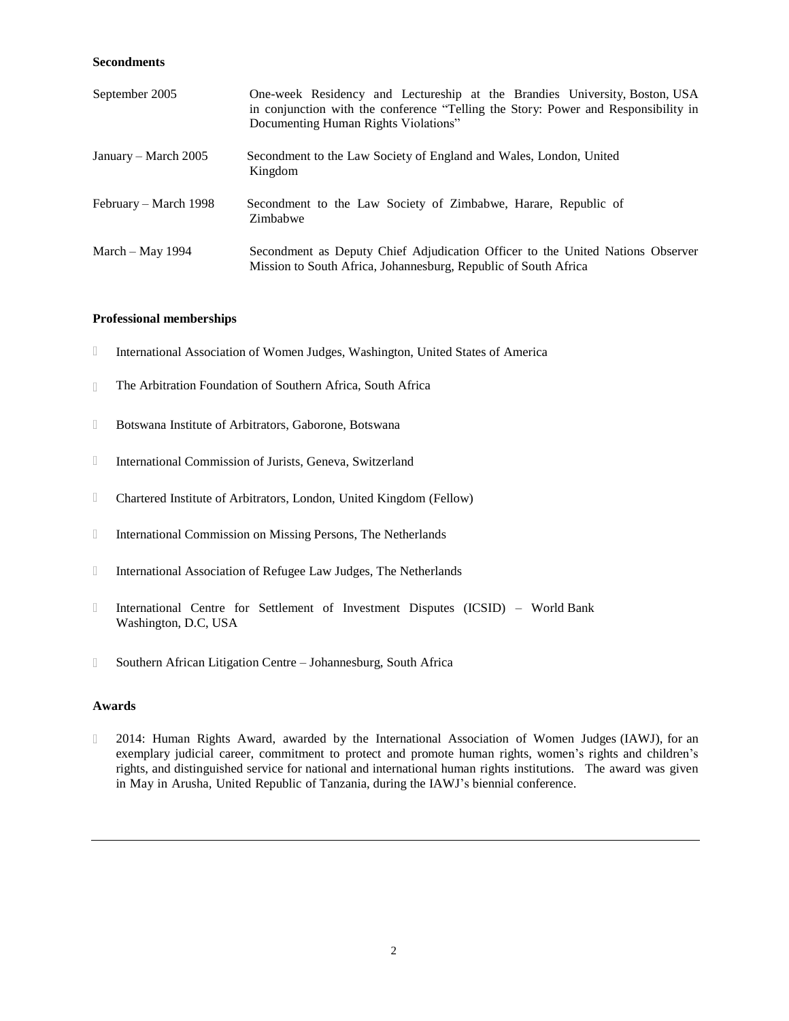#### **Secondments**

| September 2005        | One-week Residency and Lectureship at the Brandies University, Boston, USA<br>in conjunction with the conference "Telling the Story: Power and Responsibility in<br>Documenting Human Rights Violations" |
|-----------------------|----------------------------------------------------------------------------------------------------------------------------------------------------------------------------------------------------------|
| January – March 2005  | Secondment to the Law Society of England and Wales, London, United<br>Kingdom                                                                                                                            |
| February – March 1998 | Secondment to the Law Society of Zimbabwe, Harare, Republic of<br>Zimbabwe                                                                                                                               |
| March – May 1994      | Secondment as Deputy Chief Adjudication Officer to the United Nations Observer<br>Mission to South Africa, Johannesburg, Republic of South Africa                                                        |

#### **Professional memberships**

- $\Box$ International Association of Women Judges, Washington, United States of America
- The Arbitration Foundation of Southern Africa, South Africa  $\Box$
- $\hfill\Box$ Botswana Institute of Arbitrators, Gaborone, Botswana
- $\hfill\Box$ International Commission of Jurists, Geneva, Switzerland
- $\hfill\Box$ Chartered Institute of Arbitrators, London, United Kingdom (Fellow)
- $\hfill\Box$ International Commission on Missing Persons, The Netherlands
- $\Box$ International Association of Refugee Law Judges, The Netherlands
- $\Box$ International Centre for Settlement of Investment Disputes (ICSID) – World Bank Washington, D.C, USA
- $\Box$ Southern African Litigation Centre – Johannesburg, South Africa

#### **Awards**

2014: Human Rights Award, awarded by the International Association of Women Judges (IAWJ), for an  $\hfill\Box$ exemplary judicial career, commitment to protect and promote human rights, women's rights and children's rights, and distinguished service for national and international human rights institutions. The award was given in May in Arusha, United Republic of Tanzania, during the IAWJ's biennial conference.